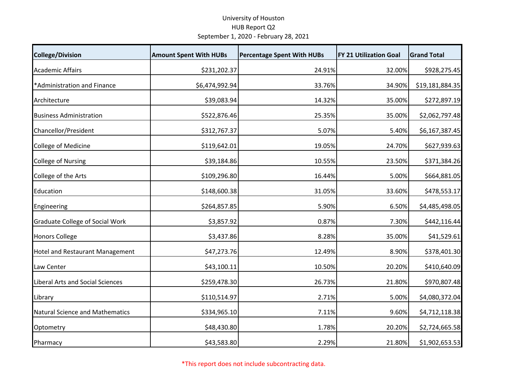## University of Houston HUB Report Q2 September 1, 2020 ‐ February 28, 2021

| <b>College/Division</b>                 | <b>Amount Spent With HUBs</b> | <b>Percentage Spent With HUBs</b> | <b>FY 21 Utilization Goal</b> | <b>Grand Total</b> |
|-----------------------------------------|-------------------------------|-----------------------------------|-------------------------------|--------------------|
| <b>Academic Affairs</b>                 | \$231,202.37                  | 24.91%                            | 32.00%                        | \$928,275.45       |
| *Administration and Finance             | \$6,474,992.94                | 33.76%                            | 34.90%                        | \$19,181,884.35    |
| Architecture                            | \$39,083.94                   | 14.32%                            | 35.00%                        | \$272,897.19       |
| <b>Business Administration</b>          | \$522,876.46                  | 25.35%                            | 35.00%                        | \$2,062,797.48     |
| Chancellor/President                    | \$312,767.37                  | 5.07%                             | 5.40%                         | \$6,167,387.45     |
| College of Medicine                     | \$119,642.01                  | 19.05%                            | 24.70%                        | \$627,939.63       |
| <b>College of Nursing</b>               | \$39,184.86                   | 10.55%                            | 23.50%                        | \$371,384.26       |
| College of the Arts                     | \$109,296.80                  | 16.44%                            | 5.00%                         | \$664,881.05       |
| Education                               | \$148,600.38                  | 31.05%                            | 33.60%                        | \$478,553.17       |
| Engineering                             | \$264,857.85                  | 5.90%                             | 6.50%                         | \$4,485,498.05     |
| <b>Graduate College of Social Work</b>  | \$3,857.92                    | 0.87%                             | 7.30%                         | \$442,116.44       |
| <b>Honors College</b>                   | \$3,437.86                    | 8.28%                             | 35.00%                        | \$41,529.61        |
| <b>Hotel and Restaurant Management</b>  | \$47,273.76                   | 12.49%                            | 8.90%                         | \$378,401.30       |
| Law Center                              | \$43,100.11                   | 10.50%                            | 20.20%                        | \$410,640.09       |
| <b>Liberal Arts and Social Sciences</b> | \$259,478.30                  | 26.73%                            | 21.80%                        | \$970,807.48       |
| Library                                 | \$110,514.97                  | 2.71%                             | 5.00%                         | \$4,080,372.04     |
| <b>Natural Science and Mathematics</b>  | \$334,965.10                  | 7.11%                             | 9.60%                         | \$4,712,118.38     |
| Optometry                               | \$48,430.80                   | 1.78%                             | 20.20%                        | \$2,724,665.58     |
| Pharmacy                                | \$43,583.80                   | 2.29%                             | 21.80%                        | \$1,902,653.53     |

\*This report does not include subcontracting data.